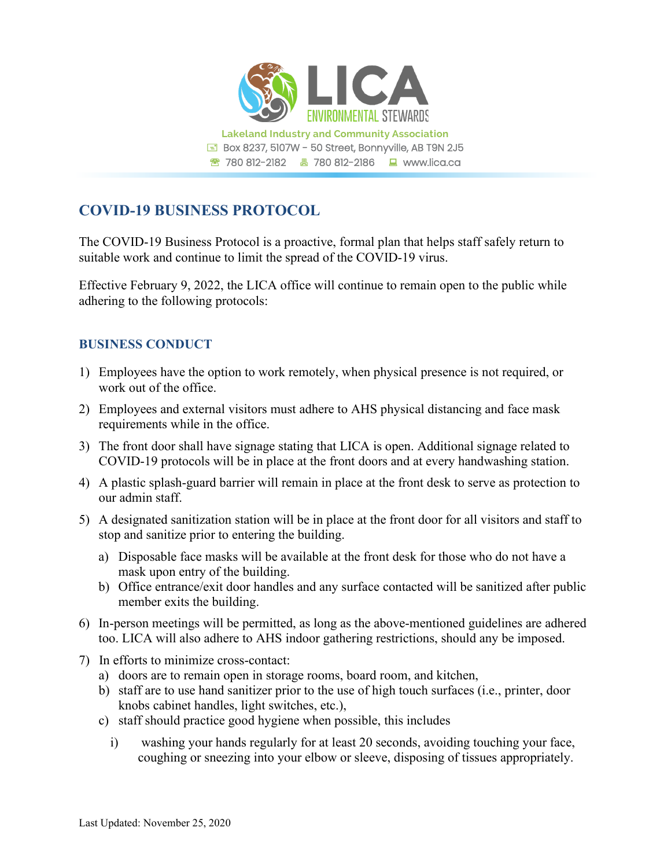

## **COVID-19 BUSINESS PROTOCOL**

The COVID-19 Business Protocol is a proactive, formal plan that helps staff safely return to suitable work and continue to limit the spread of the COVID-19 virus.

Effective February 9, 2022, the LICA office will continue to remain open to the public while adhering to the following protocols:

## **BUSINESS CONDUCT**

- 1) Employees have the option to work remotely, when physical presence is not required, or work out of the office.
- 2) Employees and external visitors must adhere to AHS physical distancing and face mask requirements while in the office.
- 3) The front door shall have signage stating that LICA is open. Additional signage related to COVID-19 protocols will be in place at the front doors and at every handwashing station.
- 4) A plastic splash-guard barrier will remain in place at the front desk to serve as protection to our admin staff.
- 5) A designated sanitization station will be in place at the front door for all visitors and staff to stop and sanitize prior to entering the building.
	- a) Disposable face masks will be available at the front desk for those who do not have a mask upon entry of the building.
	- b) Office entrance/exit door handles and any surface contacted will be sanitized after public member exits the building.
- 6) In-person meetings will be permitted, as long as the above-mentioned guidelines are adhered too. LICA will also adhere to AHS indoor gathering restrictions, should any be imposed.
- 7) In efforts to minimize cross-contact:
	- a) doors are to remain open in storage rooms, board room, and kitchen,
	- b) staff are to use hand sanitizer prior to the use of high touch surfaces (i.e., printer, door knobs cabinet handles, light switches, etc.),
	- c) staff should practice good hygiene when possible, this includes
		- i) washing your hands regularly for at least 20 seconds, avoiding touching your face, coughing or sneezing into your elbow or sleeve, disposing of tissues appropriately.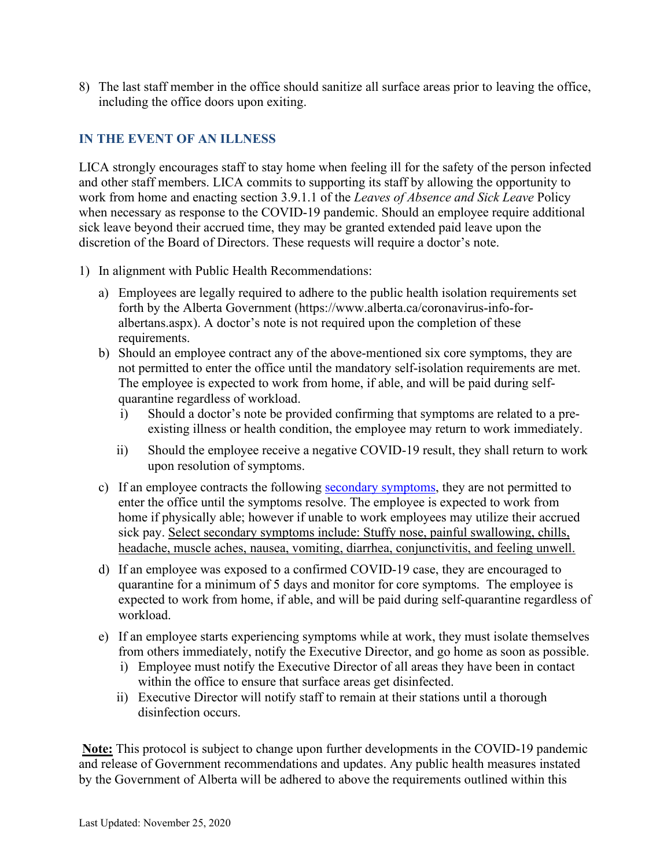8) The last staff member in the office should sanitize all surface areas prior to leaving the office, including the office doors upon exiting.

## **IN THE EVENT OF AN ILLNESS**

LICA strongly encourages staff to stay home when feeling ill for the safety of the person infected and other staff members. LICA commits to supporting its staff by allowing the opportunity to work from home and enacting section 3.9.1.1 of the *Leaves of Absence and Sick Leave* Policy when necessary as response to the COVID-19 pandemic. Should an employee require additional sick leave beyond their accrued time, they may be granted extended paid leave upon the discretion of the Board of Directors. These requests will require a doctor's note.

- 1) In alignment with Public Health Recommendations:
	- a) Employees are legally required to adhere to the public health isolation requirements set forth by the Alberta Government (https://www.alberta.ca/coronavirus-info-foralbertans.aspx). A doctor's note is not required upon the completion of these requirements.
	- b) Should an employee contract any of the above-mentioned six core symptoms, they are not permitted to enter the office until the mandatory self-isolation requirements are met. The employee is expected to work from home, if able, and will be paid during selfquarantine regardless of workload.
		- i) Should a doctor's note be provided confirming that symptoms are related to a preexisting illness or health condition, the employee may return to work immediately.
		- ii) Should the employee receive a negative COVID-19 result, they shall return to work upon resolution of symptoms.
	- c) If an employee contracts the following [secondary symptoms,](https://www.alberta.ca/covid-19-testing-in-alberta.aspx) they are not permitted to enter the office until the symptoms resolve. The employee is expected to work from home if physically able; however if unable to work employees may utilize their accrued sick pay. Select secondary symptoms include: Stuffy nose, painful swallowing, chills, headache, muscle aches, nausea, vomiting, diarrhea, conjunctivitis, and feeling unwell.
	- d) If an employee was exposed to a confirmed COVID-19 case, they are encouraged to quarantine for a minimum of 5 days and monitor for core symptoms. The employee is expected to work from home, if able, and will be paid during self-quarantine regardless of workload.
	- e) If an employee starts experiencing symptoms while at work, they must isolate themselves from others immediately, notify the Executive Director, and go home as soon as possible.
		- i) Employee must notify the Executive Director of all areas they have been in contact within the office to ensure that surface areas get disinfected.
		- ii) Executive Director will notify staff to remain at their stations until a thorough disinfection occurs.

**Note:** This protocol is subject to change upon further developments in the COVID-19 pandemic and release of Government recommendations and updates. Any public health measures instated by the Government of Alberta will be adhered to above the requirements outlined within this